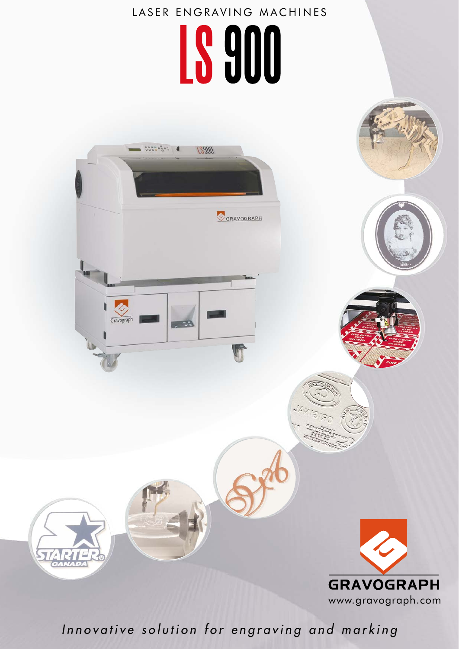# LASER ENGRAVING MACHINES

# 18900



Innovative solution for engraving and marking